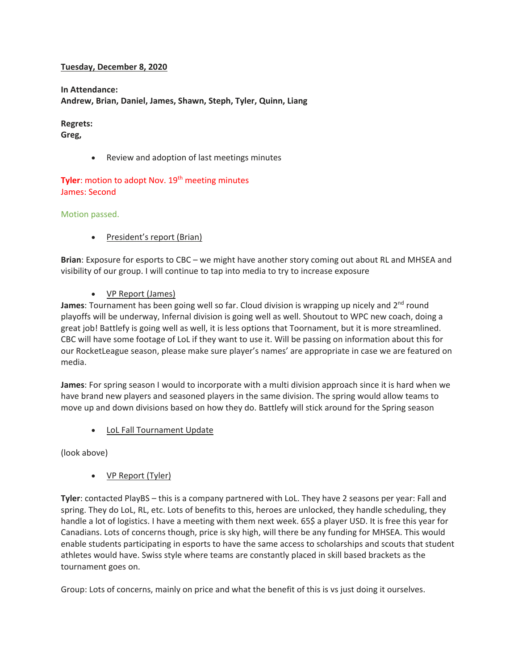#### **Tuesday, December 8, 2020**

**In Attendance: Andrew, Brian, Daniel, James, Shawn, Steph, Tyler, Quinn, Liang**

**Regrets: Greg,**

• Review and adoption of last meetings minutes

**Tyler:** motion to adopt Nov. 19<sup>th</sup> meeting minutes James: Second

#### Motion passed.

• President's report (Brian)

**Brian**: Exposure for esports to CBC – we might have another story coming out about RL and MHSEA and visibility of our group. I will continue to tap into media to try to increase exposure

#### • VP Report (James)

**James**: Tournament has been going well so far. Cloud division is wrapping up nicely and 2<sup>nd</sup> round playoffs will be underway, Infernal division is going well as well. Shoutout to WPC new coach, doing a great job! Battlefy is going well as well, it is less options that Toornament, but it is more streamlined. CBC will have some footage of LoL if they want to use it. Will be passing on information about this for our RocketLeague season, please make sure player's names' are appropriate in case we are featured on media.

**James**: For spring season I would to incorporate with a multi division approach since it is hard when we have brand new players and seasoned players in the same division. The spring would allow teams to move up and down divisions based on how they do. Battlefy will stick around for the Spring season

**LoL Fall Tournament Update** 

(look above)

• VP Report (Tyler)

**Tyler**: contacted PlayBS – this is a company partnered with LoL. They have 2 seasons per year: Fall and spring. They do LoL, RL, etc. Lots of benefits to this, heroes are unlocked, they handle scheduling, they handle a lot of logistics. I have a meeting with them next week. 65\$ a player USD. It is free this year for Canadians. Lots of concerns though, price is sky high, will there be any funding for MHSEA. This would enable students participating in esports to have the same access to scholarships and scouts that student athletes would have. Swiss style where teams are constantly placed in skill based brackets as the tournament goes on.

Group: Lots of concerns, mainly on price and what the benefit of this is vs just doing it ourselves.